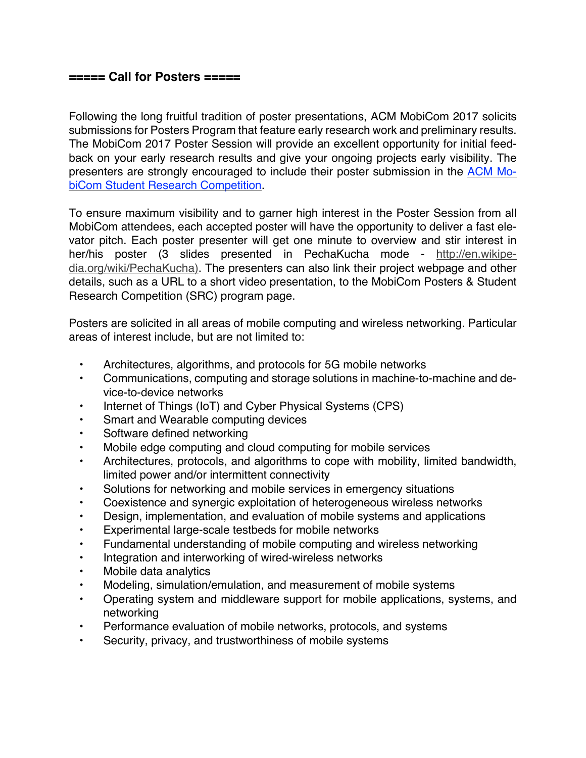## **===== Call for Posters =====**

Following the long fruitful tradition of poster presentations, ACM MobiCom 2017 solicits submissions for Posters Program that feature early research work and preliminary results. The MobiCom 2017 Poster Session will provide an excellent opportunity for initial feedback on your early research results and give your ongoing projects early visibility. The presenters are strongly encouraged to include their poster submission in the ACM MobiCom Student Research Competition.

To ensure maximum visibility and to garner high interest in the Poster Session from all MobiCom attendees, each accepted poster will have the opportunity to deliver a fast elevator pitch. Each poster presenter will get one minute to overview and stir interest in her/his poster (3 slides presented in PechaKucha mode - http://en.wikipedia.org/wiki/PechaKucha). The presenters can also link their project webpage and other details, such as a URL to a short video presentation, to the MobiCom Posters & Student Research Competition (SRC) program page.

Posters are solicited in all areas of mobile computing and wireless networking. Particular areas of interest include, but are not limited to:

- Architectures, algorithms, and protocols for 5G mobile networks
- Communications, computing and storage solutions in machine-to-machine and device-to-device networks
- Internet of Things (IoT) and Cyber Physical Systems (CPS)
- Smart and Wearable computing devices
- Software defined networking
- Mobile edge computing and cloud computing for mobile services
- Architectures, protocols, and algorithms to cope with mobility, limited bandwidth, limited power and/or intermittent connectivity
- Solutions for networking and mobile services in emergency situations
- Coexistence and synergic exploitation of heterogeneous wireless networks
- Design, implementation, and evaluation of mobile systems and applications
- Experimental large-scale testbeds for mobile networks
- Fundamental understanding of mobile computing and wireless networking
- Integration and interworking of wired-wireless networks
- Mobile data analytics
- Modeling, simulation/emulation, and measurement of mobile systems
- Operating system and middleware support for mobile applications, systems, and networking
- Performance evaluation of mobile networks, protocols, and systems
- Security, privacy, and trustworthiness of mobile systems